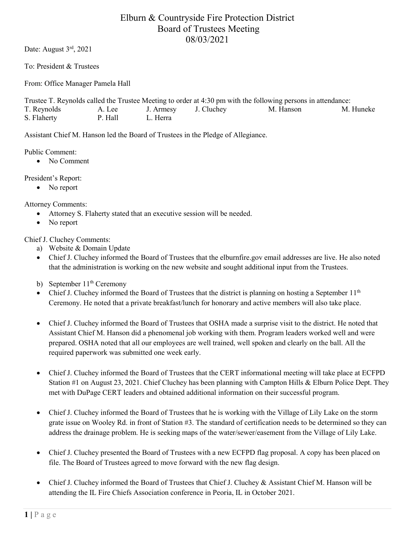## Elburn & Countryside Fire Protection District Board of Trustees Meeting 08/03/2021

Date: August 3<sup>rd</sup>, 2021

To: President & Trustees

From: Office Manager Pamela Hall

Trustee T. Reynolds called the Trustee Meeting to order at 4:30 pm with the following persons in attendance: T. Reynolds A. Lee J. Armesy J. Cluchey M. Hanson M. Huneke S. Flaherty P. Hall L. Herra

Assistant Chief M. Hanson led the Board of Trustees in the Pledge of Allegiance.

Public Comment:

• No Comment

President's Report:

• No report

Attorney Comments:

- Attorney S. Flaherty stated that an executive session will be needed.
- No report

Chief J. Cluchey Comments:

- a) Website & Domain Update
- Chief J. Cluchey informed the Board of Trustees that the elburnfire.gov email addresses are live. He also noted that the administration is working on the new website and sought additional input from the Trustees.
- b) September 11<sup>th</sup> Ceremony
- Chief J. Cluchey informed the Board of Trustees that the district is planning on hosting a September  $11<sup>th</sup>$ Ceremony. He noted that a private breakfast/lunch for honorary and active members will also take place.
- Chief J. Cluchey informed the Board of Trustees that OSHA made a surprise visit to the district. He noted that Assistant Chief M. Hanson did a phenomenal job working with them. Program leaders worked well and were prepared. OSHA noted that all our employees are well trained, well spoken and clearly on the ball. All the required paperwork was submitted one week early.
- Chief J. Cluchey informed the Board of Trustees that the CERT informational meeting will take place at ECFPD Station #1 on August 23, 2021. Chief Cluchey has been planning with Campton Hills & Elburn Police Dept. They met with DuPage CERT leaders and obtained additional information on their successful program.
- Chief J. Cluchey informed the Board of Trustees that he is working with the Village of Lily Lake on the storm grate issue on Wooley Rd. in front of Station #3. The standard of certification needs to be determined so they can address the drainage problem. He is seeking maps of the water/sewer/easement from the Village of Lily Lake.
- Chief J. Cluchey presented the Board of Trustees with a new ECFPD flag proposal. A copy has been placed on file. The Board of Trustees agreed to move forward with the new flag design.
- Chief J. Cluchey informed the Board of Trustees that Chief J. Cluchey & Assistant Chief M. Hanson will be attending the IL Fire Chiefs Association conference in Peoria, IL in October 2021.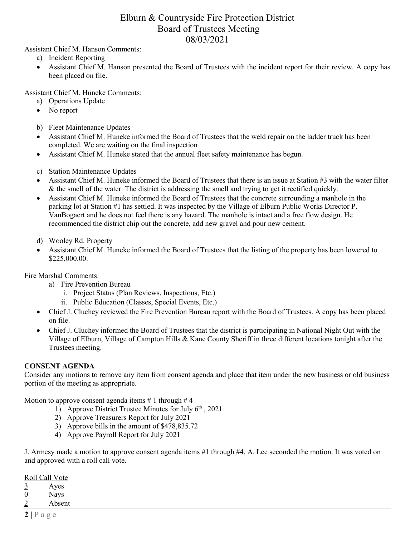## Elburn & Countryside Fire Protection District Board of Trustees Meeting 08/03/2021

Assistant Chief M. Hanson Comments:

- a) Incident Reporting
- Assistant Chief M. Hanson presented the Board of Trustees with the incident report for their review. A copy has been placed on file.

Assistant Chief M. Huneke Comments:

- a) Operations Update
- No report
- b) Fleet Maintenance Updates
- Assistant Chief M. Huneke informed the Board of Trustees that the weld repair on the ladder truck has been completed. We are waiting on the final inspection
- Assistant Chief M. Huneke stated that the annual fleet safety maintenance has begun.
- c) Station Maintenance Updates
- Assistant Chief M. Huneke informed the Board of Trustees that there is an issue at Station #3 with the water filter & the smell of the water. The district is addressing the smell and trying to get it rectified quickly.
- Assistant Chief M. Huneke informed the Board of Trustees that the concrete surrounding a manhole in the parking lot at Station #1 has settled. It was inspected by the Village of Elburn Public Works Director P. VanBogaert and he does not feel there is any hazard. The manhole is intact and a free flow design. He recommended the district chip out the concrete, add new gravel and pour new cement.
- d) Wooley Rd. Property
- Assistant Chief M. Huneke informed the Board of Trustees that the listing of the property has been lowered to \$225,000.00.

Fire Marshal Comments:

- a) Fire Prevention Bureau
	- i. Project Status (Plan Reviews, Inspections, Etc.)
	- ii. Public Education (Classes, Special Events, Etc.)
- Chief J. Cluchey reviewed the Fire Prevention Bureau report with the Board of Trustees. A copy has been placed on file.
- Chief J. Cluchey informed the Board of Trustees that the district is participating in National Night Out with the Village of Elburn, Village of Campton Hills & Kane County Sheriff in three different locations tonight after the Trustees meeting.

## **CONSENT AGENDA**

Consider any motions to remove any item from consent agenda and place that item under the new business or old business portion of the meeting as appropriate.

Motion to approve consent agenda items  $\# 1$  through  $\# 4$ 

- 1) Approve District Trustee Minutes for July  $6<sup>th</sup>$ , 2021
- 2) Approve Treasurers Report for July 2021
- 3) Approve bills in the amount of \$478,835.72
- 4) Approve Payroll Report for July 2021

J. Armesy made a motion to approve consent agenda items #1 through #4. A. Lee seconded the motion. It was voted on and approved with a roll call vote.

Roll Call Vote

 $\frac{3}{0}$  Ayes<br>Nays

 $\frac{0}{2}$  Nays<br>Absen

Absent